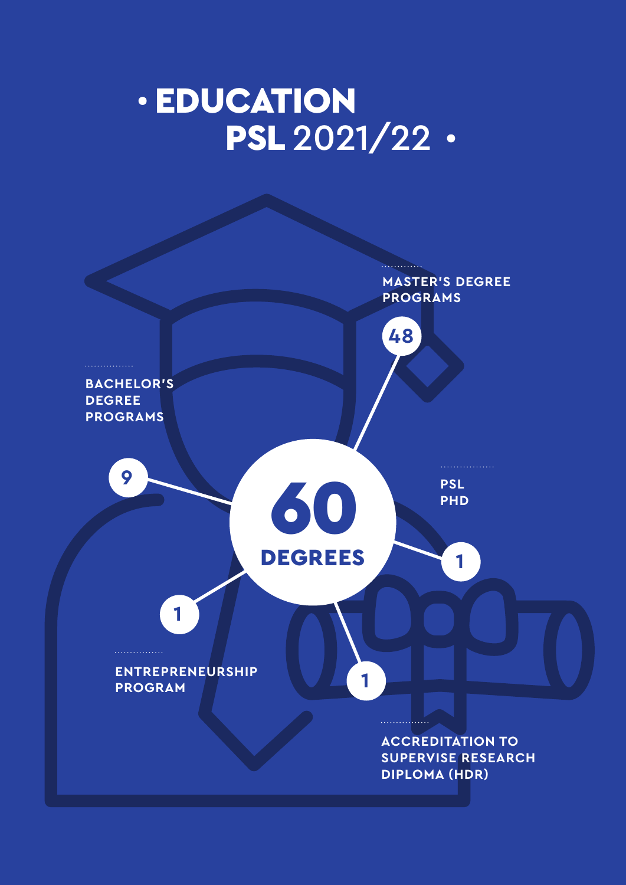# EDUCATION PSL 2021/22 ·